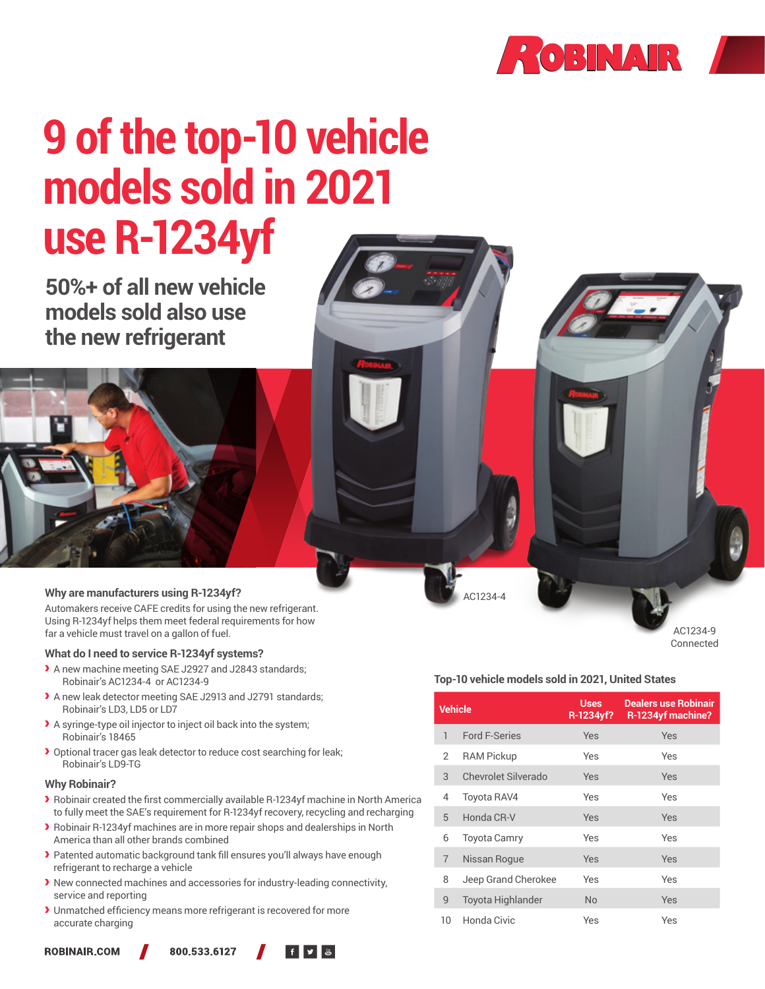

# **9 of the top-10 vehicle models sold in 2021 use R-1234yf**

**50%+ of all new vehicle models sold also use the new refrigerant**



#### **Why are manufacturers using R-1234yf?**

Automakers receive CAFE credits for using the new refrigerant. Using R-1234yf helps them meet federal requirements for how far a vehicle must travel on a gallon of fuel.

#### **What do I need to service R-1234yf systems?**

- A new machine meeting SAE J2927 and J2843 standards; Robinair's AC1234-4 or AC1234-9
- A new leak detector meeting SAE J2913 and J2791 standards; Robinair's LD3, LD5 or LD7
- A syringe-type oil injector to inject oil back into the system; Robinair's 18465
- $\blacktriangleright$  Optional tracer gas leak detector to reduce cost searching for leak; Robinair's LD9-TG

#### **Why Robinair?**

- Robinair created the first commercially available R-1234yf machine in North America to fully meet the SAE's requirement for R-1234yf recovery, recycling and recharging
- Robinair R-1234yf machines are in more repair shops and dealerships in North America than all other brands combined
- Patented automatic background tank fill ensures you'll always have enough refrigerant to recharge a vehicle
- New connected machines and accessories for industry-leading connectivity, service and reporting
- Unmatched efficiency means more refrigerant is recovered for more accurate charging

**ROBINAIR,COM** 





AC1234-4

AC1234-9 Connected

#### **Top-10 vehicle models sold in 2021, United States**

| <b>Vehicle</b>  |                          | <b>Uses</b><br>R-1234yf? | <b>Dealers use Robinair</b><br>R-1234yf machine? |
|-----------------|--------------------------|--------------------------|--------------------------------------------------|
| 1               | <b>Ford F-Series</b>     | Yes                      | Yes                                              |
| $\mathcal{P}$   | <b>RAM Pickup</b>        | Yes                      | Yes                                              |
| 3               | Chevrolet Silverado      | Yes                      | Yes                                              |
| 4               | <b>Toyota RAV4</b>       | Yes                      | Yes                                              |
| 5               | Honda CR-V               | Yes                      | Yes                                              |
| 6               | <b>Toyota Camry</b>      | Yes                      | Yes                                              |
| $\overline{7}$  | Nissan Roque             | Yes                      | Yes                                              |
| 8               | Jeep Grand Cherokee      | Yes                      | Yes                                              |
| 9               | <b>Toyota Highlander</b> | No                       | Yes                                              |
| 10 <sup>°</sup> | Honda Civic              | Yes                      | Yes                                              |